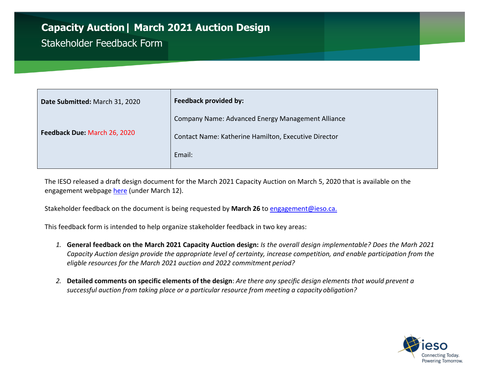## **Capacity Auction| March 2021 Auction Design**

## Stakeholder Feedback Form

| Date Submitted: March 31, 2020 | <b>Feedback provided by:</b>                         |
|--------------------------------|------------------------------------------------------|
| Feedback Due: March 26, 2020   | Company Name: Advanced Energy Management Alliance    |
|                                | Contact Name: Katherine Hamilton, Executive Director |
|                                | Email:                                               |
|                                |                                                      |

The IESO released a draft design document for the March 2021 Capacity Auction on March 5, 2020 that is available on the engagement webpage here (under March 12).

Stakeholder feedback on the document is being requested by **March 26** to [engagement@ieso.ca.](mailto:engagement@ieso.ca)

This feedback form is intended to help organize stakeholder feedback in two key areas:

- *1.* **General feedback on the March 2021 Capacity Auction design:** *Is the overall design implementable? Does the Marh 2021 Capacity Auction design provide the appropriate level of certainty, increase competition, and enable participation from the eligble resources for the March 2021 auction and 2022 commitment period?*
- 2. Detailed comments on specific elements of the design: Are there any specific design elements that would prevent a *successful auction from taking place or a particular resource from meeting a capacity obligation?*

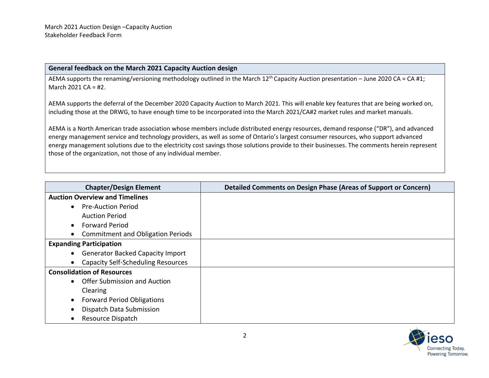## **General feedback on the March 2021 Capacity Auction design**

AEMA supports the renaming/versioning methodology outlined in the March  $12^{th}$  Capacity Auction presentation – June 2020 CA = CA #1; March 2021 CA = #2.

AEMA supports the deferral of the December 2020 Capacity Auction to March 2021. This will enable key features that are being worked on, including those at the DRWG, to have enough time to be incorporated into the March 2021/CA#2 market rules and market manuals.

AEMA is a North American trade association whose members include distributed energy resources, demand response ("DR"), and advanced energy management service and technology providers, as well as some of Ontario's largest consumer resources, who support advanced energy management solutions due to the electricity cost savings those solutions provide to their businesses. The comments herein represent those of the organization, not those of any individual member.

| <b>Chapter/Design Element</b>                          | Detailed Comments on Design Phase (Areas of Support or Concern) |
|--------------------------------------------------------|-----------------------------------------------------------------|
| <b>Auction Overview and Timelines</b>                  |                                                                 |
| <b>Pre-Auction Period</b><br>$\bullet$                 |                                                                 |
| <b>Auction Period</b>                                  |                                                                 |
| <b>Forward Period</b><br>$\bullet$                     |                                                                 |
| <b>Commitment and Obligation Periods</b><br>$\bullet$  |                                                                 |
| <b>Expanding Participation</b>                         |                                                                 |
| • Generator Backed Capacity Import                     |                                                                 |
| <b>Capacity Self-Scheduling Resources</b><br>$\bullet$ |                                                                 |
| <b>Consolidation of Resources</b>                      |                                                                 |
| Offer Submission and Auction<br>$\bullet$              |                                                                 |
| Clearing                                               |                                                                 |
| <b>Forward Period Obligations</b><br>$\bullet$         |                                                                 |
| Dispatch Data Submission<br>$\bullet$                  |                                                                 |
| Resource Dispatch<br>$\bullet$                         |                                                                 |

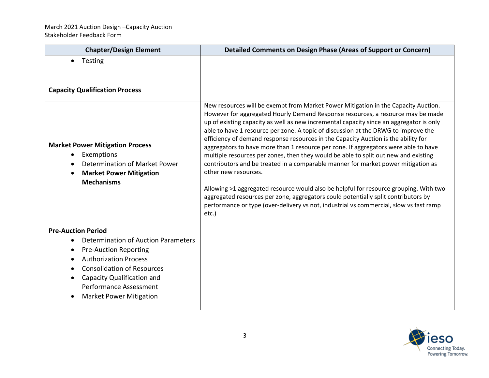| <b>Chapter/Design Element</b>                                                                                                                | <b>Detailed Comments on Design Phase (Areas of Support or Concern)</b>                                                                                                                                                                                                                                                                                                                                                                                                                                                                                                                                                                                                                                                                                                                                                                                                                                                                                                                                                    |
|----------------------------------------------------------------------------------------------------------------------------------------------|---------------------------------------------------------------------------------------------------------------------------------------------------------------------------------------------------------------------------------------------------------------------------------------------------------------------------------------------------------------------------------------------------------------------------------------------------------------------------------------------------------------------------------------------------------------------------------------------------------------------------------------------------------------------------------------------------------------------------------------------------------------------------------------------------------------------------------------------------------------------------------------------------------------------------------------------------------------------------------------------------------------------------|
| Testing<br>$\bullet$                                                                                                                         |                                                                                                                                                                                                                                                                                                                                                                                                                                                                                                                                                                                                                                                                                                                                                                                                                                                                                                                                                                                                                           |
|                                                                                                                                              |                                                                                                                                                                                                                                                                                                                                                                                                                                                                                                                                                                                                                                                                                                                                                                                                                                                                                                                                                                                                                           |
| <b>Capacity Qualification Process</b>                                                                                                        |                                                                                                                                                                                                                                                                                                                                                                                                                                                                                                                                                                                                                                                                                                                                                                                                                                                                                                                                                                                                                           |
| <b>Market Power Mitigation Process</b><br>Exemptions<br>Determination of Market Power<br><b>Market Power Mitigation</b><br><b>Mechanisms</b> | New resources will be exempt from Market Power Mitigation in the Capacity Auction.<br>However for aggregated Hourly Demand Response resources, a resource may be made<br>up of existing capacity as well as new incremental capacity since an aggregator is only<br>able to have 1 resource per zone. A topic of discussion at the DRWG to improve the<br>efficiency of demand response resources in the Capacity Auction is the ability for<br>aggregators to have more than 1 resource per zone. If aggregators were able to have<br>multiple resources per zones, then they would be able to split out new and existing<br>contributors and be treated in a comparable manner for market power mitigation as<br>other new resources.<br>Allowing >1 aggregated resource would also be helpful for resource grouping. With two<br>aggregated resources per zone, aggregators could potentially split contributors by<br>performance or type (over-delivery vs not, industrial vs commercial, slow vs fast ramp<br>etc.) |
| <b>Pre-Auction Period</b>                                                                                                                    |                                                                                                                                                                                                                                                                                                                                                                                                                                                                                                                                                                                                                                                                                                                                                                                                                                                                                                                                                                                                                           |
| Determination of Auction Parameters                                                                                                          |                                                                                                                                                                                                                                                                                                                                                                                                                                                                                                                                                                                                                                                                                                                                                                                                                                                                                                                                                                                                                           |
| <b>Pre-Auction Reporting</b><br><b>Authorization Process</b>                                                                                 |                                                                                                                                                                                                                                                                                                                                                                                                                                                                                                                                                                                                                                                                                                                                                                                                                                                                                                                                                                                                                           |
| <b>Consolidation of Resources</b>                                                                                                            |                                                                                                                                                                                                                                                                                                                                                                                                                                                                                                                                                                                                                                                                                                                                                                                                                                                                                                                                                                                                                           |
| Capacity Qualification and                                                                                                                   |                                                                                                                                                                                                                                                                                                                                                                                                                                                                                                                                                                                                                                                                                                                                                                                                                                                                                                                                                                                                                           |
| <b>Performance Assessment</b>                                                                                                                |                                                                                                                                                                                                                                                                                                                                                                                                                                                                                                                                                                                                                                                                                                                                                                                                                                                                                                                                                                                                                           |
| <b>Market Power Mitigation</b>                                                                                                               |                                                                                                                                                                                                                                                                                                                                                                                                                                                                                                                                                                                                                                                                                                                                                                                                                                                                                                                                                                                                                           |